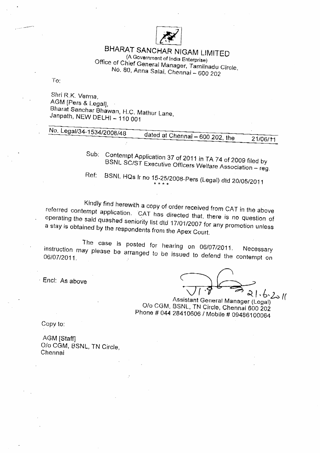

BHARAT SANCHAR NIGAM LIMITED (A Government of India Enterprise) Office of Chief General Manager, Tamilnadu Circle, No. 80, Anna Salai, Chennal - 600 202

To:

Shri R.K. Verma, AGM [Pers & Legal], Bharat Sanchar Bhawan, H.C. Mathur Lane, Janpath, NEW DELHI - 110 001

| No. Legal/34-1534/2008/48<br>dated at Chennai – 600 202, the | 21/06/11 |
|--------------------------------------------------------------|----------|
| Sub: Contemnt Annlication 27 of 2044 to The Sub              |          |

Contempt Application 37 of 2011 in TA 74 of 2009 filed by BSNL SC/ST Executive Officers Welfare Association - reg.

BSNL HQs Ir no 15-25/2008-Pers (Legal) dtd 20/05/2011 Ref:

Kindly find herewith a copy of order received from CAT in the above referred contempt application. CAT has directed that, there is no question of operating the said quashed seniority list dtd 17/01/2007 for any promotion unless a stay is obtained by the respondents from the Apex Court.

The case is posted for hearing on 06/07/2011. instruction may please be arranged to be issued to defend the contempt on

· Encl: As above

to.2011 Assistant General Manager (Legal) O/o CGM, BSNL, TN Circle, Chennai 600 202 Phone # 044 28410606 / Mobile # 09486100064

Copy to:

**AGM [Staff]** O/o CGM, BSNL, TN Circle, Chennai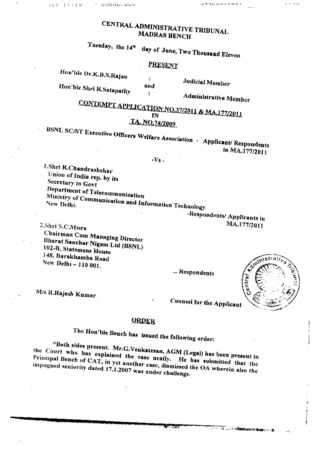# CENTRAL ADMINISTRATIVE TRIBUNAL **MADRAS BENCH**

## Tuesday, the 14th day of June, Two Thousand Eleven

## PRESENT

 $\mathbf{r}$ 

÷

Hon'ble Dr.K.B.S.Rajan

Hon'ble Shri R.Satapathy and **Judicial Member** 

Administrative Member

UTTLUULUUU

CONTEMPT APPLICATION NO.37/2011 & MA.177/2011 TA. NO.74/2009

BSNL SC/ST Executive Officers Welfare Association - Applicant/Respondents in MA.177/2011

 $-V<sub>S</sub>$ .

1.Shri R.Chandrashekar Union of India rep. by its Secretary to Govt Department of Telecommunication Ministry of Communication and Information Technology

Respondents/Applicants in MA.177/2011

**All the second complete the complete of the first of the first of the first of the first of the first of the fi** 

2.Shri S.C.Misra Chairman Cum Managing Director Bharat Sanchar Nigam Ltd (BSNL) 102-B, Statemens House 148, Barakhamba Road New Delhi - 110 001.

... Respondents

M/s R.Rajesh Kumar

Counsel for the Applicant

## **ORDER**

The Hon'ble Bench has issued the following order:

"Both sides present. Mr.G.Venkatesan, AGM (Legal) has been present in the Court who has explained the case neatly. He has submitted that the Principal Bench of CAT, in yet another case, dismissed the OA wherein also the impugued seniority dated 17.1.2007 was under challenge.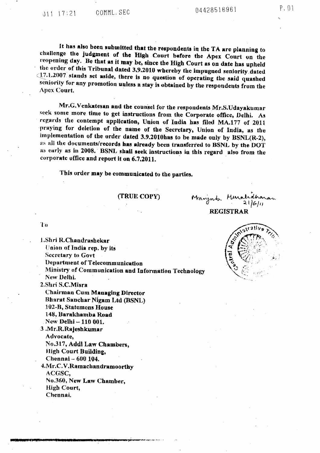It has also been submitted that the respondents in the TA are planning to challenge the judgment of the High Court before the Apex Court on the reopening day. Be that as it may be, since the High Court as on date has upheld the order of this Tribunal dated 3.9.2010 whereby the impugned seniority dated (17.1.2007 stands set aside, there is no question of operating the said quashed seniority for any promotion unless a stay is obtained by the respondents from the **Apex Court.** 

Mr.G.Venkatesan and the counsel for the respondents Mr.S.Udayakumar seek some more time to get instructions from the Corporate office, Delhi. As regards the contempt application, Union of India has filed MA.177 of 2011 praying for deletion of the name of the Secretary, Union of India, as the implementation of the order dated 3.9.2010has to be made only by BSNL(R-2), as all the documents/records has already been transferred to BSNL by the DOT as early as in 2008. BSNL shall seek instructions in this regard also from the corporate office and report it on 6.7.2011.

This order may be communicated to the parties.

#### (TRUE COPY)

Manjnts M  $21611$ **REGISTRAR** 

To

1.Shri R.Chandrashekar Union of India rep. by its **Secretary to Govt** Department of Telecommunication Ministry of Communication and Information Technology

New Delhi. 2.Shri S.C.Misra Chairman Cum Managing Director Bharat Sanchar Nigam Ltd (BSNL) 102-B, Statemens House 148, Barakhamba Road

New Delhi - 110 001. 3.Mr.R.Rajeshkumar Advocate, No.317, Addl Law Chambers,

High Court Building, Chennai - 600 104.

4.Mr.C.V.Ramachandramoorthy ACGSC, No.360, New Law Chamber, **High Court,** Chennai.

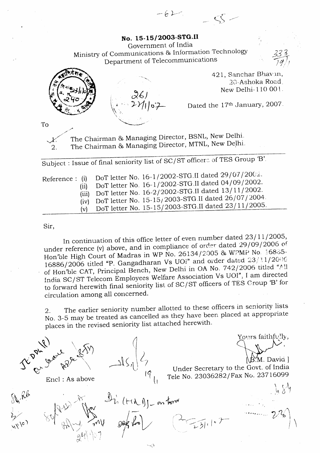No. 15-15/2003-STG.II Government of India Ministry of Communications & Information Technology<br>Department of Telecommunications Department of Telecommunications

 $-62$ 



421, Sanchar Bhavan, 20-Ashoka Road New Delhi- I 10 O0 t

Dated the 17th January, 2007.

f- $\lesssim$   $-$ 

To

The Chairman & Managing Director, BSNL, New Delhi.

 $\frac{1}{\sum_{i=1}^N\sum_{j=1}^N\left(\frac{1}{\sum_{i=1}^N\left(\frac{1}{\sum_{i=1}^N\left(\frac{1}{\sum_{i=1}^N\left(\frac{1}{\sum_{i=1}^N\left(\frac{1}{\sum_{i=1}^N\left(\frac{1}{\sum_{i=1}^N\left(\frac{1}{\sum_{i=1}^N\left(\frac{1}{\sum_{i=1}^N\left(\frac{1}{\sum_{i=1}^N\left(\frac{1}{\sum_{i=1}^N\left(\frac{1}{\sum_{i=1}^N\left(\frac{1}{\sum_{i=1}^N\left(\frac{$ 

 $\vee$ <sup> $\frac{1}{2}$ </sup>  $\overline{2}$  .

The Chairman & Managing Director, MTNL, New Delhi.

Subject : Issue of final seniority list of SC/ST officer: of TES Group 'B'.

| Reference: (i) DoT letter No. 16-1/2002-STG.II dated 29/07/2002.<br>DoT letter No. 16-1/2002-STG.II dated 04/09/2002.<br>(iii) DoT letter No. 16-2/2002-STG.II dated 13/11/2002.<br>(iv) DoT letter No. 15-15/2003-STG.II dated 26/07/2004. |
|---------------------------------------------------------------------------------------------------------------------------------------------------------------------------------------------------------------------------------------------|
| (v) DoT letter No. 15-15/2003-STG.II dated 23/11/2005.                                                                                                                                                                                      |

### Sir,

In continuation of this office letter of even number dated  $23/11/2005$ , under reference (v) above, and in compliance of order dated 29/09/2006 of Hon'ble High Court of Madras in WP No. 26134/2005 & WPMP No. 16885-16886/2006 titled "P. Gangadharan Vs UOi" and order dated  $23/11/2006$ of Hon'ble CAT, Principal Bench, New Delhi in OA No. 742/2006 titled "All India SC/ST Telecom Employees Welfare Association Vs UOI", I am directed to forward herewith final seniority list of SC/ST officers of TES Croup 'B' for circulation among all concerned

2. The earlier seniority number allotted to these officers in seniority lists No. 3-5 may be treated as cancelled as they have been placed at appropriate places in the revised seniority list attached herewith.

 $\vert$ 

 $\mathbb{D}_h$  (the  $\mathbb{E}_{h}$  on torm

 $\tilde{\phantom{a}}$ 







-

 $\mathcal{U}^{\mathbf{w}}$ 

gLi\ '\'t ]  $\propto$ 

 $\mathcal{W}$  ,  $\mathcal{W}$  $\sqrt{2}$ 

 $|\partial\!\!\!\rightarrow\!\!\!\!\sim\rangle$ 

 $\mathscr{E}_{\mathscr{E}}$  is the integration of  $\mathscr{E}_{\mathscr{E}}$ 

 $\langle \rangle$   $\,$ l  $\sum'$  $\wedge$  is  $\int_{0}^{\infty}$  ,  $\int_{0}^{\infty}$  ,  $\int_{0}^{\infty}$  ,  $\int_{0}^{\infty}$  ,  $\int_{0}^{\infty}$  ,  $\int_{0}^{\infty}$  ,  $\int_{0}^{\infty}$  ,  $\int_{0}^{\infty}$  ,  $\int_{0}^{\infty}$  ,  $\int_{0}^{\infty}$  ,  $\int_{0}^{\infty}$  ,  $\int_{0}^{\infty}$  ,  $\int_{0}^{\infty}$  ,  $\int_{0}^{\infty}$  ,  $\int_{0}^{\infty}$ 

 $\sim$   $\,$ ሳ $\,$  በ

\B`M. David l

Under Secretary to the Govt. of India Tele No. 23036282/Fax No. 23716099

 $251$ 

 $\mathcal{L}_{\mathcal{L}}$  $\alpha$  ,  $\beta$  ,  $\beta$  ,  $\beta$  ,  $\beta$  ,  $\beta$  ,  $\beta$  ,  $\beta$  ,  $\beta$  ,  $\beta$  ,  $\beta$  ,  $\beta$  ,  $\beta$  ,  $\beta$  ,  $\beta$  ,  $\beta$  ,  $\beta$  ,  $\beta$  ,  $\beta$  ,  $\beta$  ,  $\beta$  ,  $\beta$  ,  $\beta$  ,  $\beta$  ,  $\beta$  ,  $\beta$  ,  $\beta$  ,  $\beta$  ,  $\beta$  ,  $\beta$  ,  $\beta$  ,  $\beta$  $2\sqrt{ }$ <sub>الما</sub>لي معاملة المنتقلة.<br>السيسم 7

 $\bigwedge$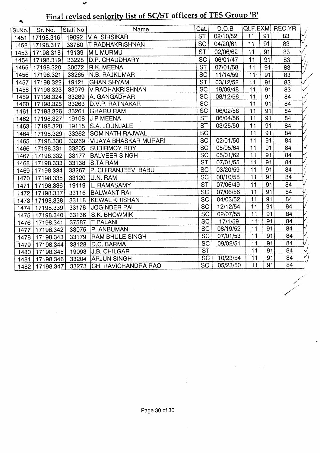# Final revised seniority list of SC/ST officers of TES Group 'B'

 $\mathbf{v}^{\mathrm{c}}$ 

| SI.No. | Sr. No.   | Staff No. | Name                         | Cat.            | D.O.B    |                 |    | QLF.EXM. REC.YR. |
|--------|-----------|-----------|------------------------------|-----------------|----------|-----------------|----|------------------|
| 1451   | 17198.316 | 19092     | <b>V.A. SIRSIKAR</b>         | <b>ST</b>       | 02/10/52 | 11              | 91 | 83               |
| :452   | 17198.317 | 33780     | <b>IT RADHAKRISHNAN</b>      | <b>SC</b>       | 04/20/61 | 11              | 91 | 83               |
| 1453   | 17198.318 | 19139     | IM L MURMU                   | <b>ST</b>       | 02/06/62 | 11              | 91 | 83               |
| 1454   | 17198.319 | 33228     | D.P. CHAUDHARY               | <b>SC</b>       | 06/01/47 | 11              | 91 | 83               |
| 1455   | 17198.320 | 30072     | R.K. MEENA                   | <b>ST</b>       | 07/01/58 | 11              | 91 | 83               |
| 1456   | 17198.321 | 33265     | N.B. RAJKUMAR                | <b>SC</b>       | 11/14/59 | $11 -$          | 91 | 83               |
| 1457   | 17198.322 | 19121     | <b>GHAN SHYAM</b>            | <b>ST</b>       | 03/12/52 | 11              | 91 | 83               |
| 1458   | 17198.323 | 33079     | V RADHAKRISHNAN              | $\overline{SC}$ | 19/09/48 | 11              | 91 | 83               |
| 1459   | 17198.324 | 33289     | A. GANGADHAR                 | SC              | 08/12/56 | 11              | 91 | $\overline{84}$  |
| 1460   | 17198.325 | 33263     | D.V.P. RATNAKAR              | SC              |          | 11              | 91 | 84               |
| 1461   | 17198.326 | 33261     | <b>GHARU RAM</b>             | <b>SC</b>       | 06/02/58 | 11              | 91 | 84               |
| 1462   | 17198.327 | 19108     | <b>J P MEENA</b>             | <b>ST</b>       | 06/04/56 | 11              | 91 | 84               |
| 1463   | 17198.328 | 19115     | S.A. JOUNJALE                | <b>ST</b>       | 03/25/50 | 11              | 91 | 84               |
| 1464   | 17198.329 | 33262     | <b>SOM NATH RAJWAL</b>       | SC              |          | 11              | 91 | 84               |
| 1465   | 17198.330 | 33269     | <b>VIJAYA BHASKAR MURARI</b> | <b>SC</b>       | 02/01/50 | 11              | 91 | 84               |
| 1466   | 17198.331 | 33205     | <b>SUBIRMOY ROY</b>          | SC              | 05/05/64 | 11              | 91 | 84               |
| 1467   | 17198.332 | 33177     | <b>BALVEER SINGH</b>         | SC              | 05/01/62 | 11              | 91 | 84               |
| 1468   | 17198.333 | 33138     | <b>SITA RAM</b>              | <b>ST</b>       | 07/01/55 | 11              | 91 | 84               |
| 1469   | 17198.334 | 33267     | P. CHIRANJEEVI BABU          | SC              | 03/20/59 | 11              | 91 | 84               |
| 1470   | 17198.335 | 33120     | U.N. RAM                     | SC              | 08/10/58 | 11              | 91 | 84               |
| 1471   | 17198.336 | 19119     | L. RAMASAMY                  | <b>ST</b>       | 07/06/49 | 11              | 91 | 84               |
| 1472   | 17198.337 | 33116     | <b>BALWANT RAI</b>           | <b>SC</b>       | 07/06/56 | 11              | 91 | 84               |
| 1473   | 17198.338 | 33118     | <b>KEWAL KRISHAN</b>         | SC              | 04/03/52 | 11              | 91 | 84               |
| 1474   | 17198.339 | 33178     | <b>JOGINDER PAL</b>          | SC              | 12/12/54 | 11              | 91 | 84               |
| 1475   | 17198.340 | 33136     | S.K. BHOWMIK                 | SC              | 02/07/55 | 11              | 91 | 84               |
| 1476   | 17198.341 | 37587     | <b>T PALANI</b>              | SC              | 17/1/59  | 11 <sup>1</sup> | 91 | 84               |
| 1477   | 17198.342 | 33075     | P. ANBUMANI                  | <b>SC</b>       | 08/19/52 | 11              | 91 | 84               |
| 1478   | 17198.343 | 33179     | <b>RAM BHULE SINGH</b>       | SC              | 07/01/53 | 11              | 91 | 84               |
| 1479   | 17198.344 | 33128     | D.C. BARMA                   | SC              | 09/02/51 | 11              | 91 | 84               |
| 1480   | 17198.345 | 19093     | <b>J.B. CHILGAR</b>          | <b>ST</b>       |          | 11              | 91 | 84               |
| 1481   | 17198.346 | 33204     | ARJUN SINGH                  | SC              | 10/23/54 | 11              | 91 | 84               |
| 1482   | 17198.347 | 33273     | CH. RAVICHANDRA RAO          | <b>SC</b>       | 05/23/50 | 11              | 91 | 84               |

/' ,/' ,/

 $\bar{\mathcal{A}}$ 

 $\frac{1}{4}$  .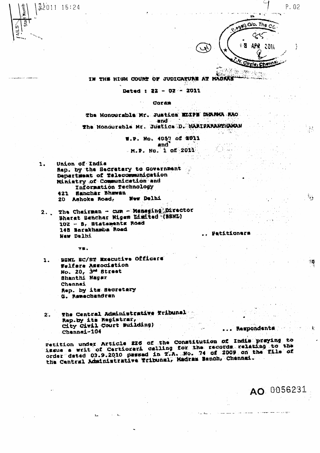$2011$  15:24



्रिके

情



Patitioners

Respondents

AO 0056231

IN THE HIGH COURT OF JUDICATURE AT MADAKS'

Deted : 22 - 02 - 2011

Coram

**Albany** 

The Monourable Mr. Justice ELIPE DEANA RAO. and -The Honoureble Mr. Justice D. HARIFARANTHAMAN

> W.P. No. 4057 of 2011 and M.P. No. 1 of 2011

- Union of India  $\mathbf{1}$ . Rep. by the Becretary to Government Department of Telecommunication Ministry of Communication and Information Technology 421 Hanchar Bhawan New Delhi 20 Ashoka Road,
- The Chairman cum Managing Director  $2.7$ Bharat Benchar Nigem Limited (BBNL) 102 - B, Btatements Road 145 Barakhamba Road New Dalhi

YB.

 $2<sup>2</sup>$ 

BSNL SC/ST Executive Officers 1. Welfare Association No. 20, 3<sup>14</sup> Btreet<br>Shanthi Nagar Chennai Rep. by its Secretary G. Ramachandran

The Central Administrative Tribunal Rap.by its Registrar, seems from the City Civil Court Building) Chennai-104

Fetition under Article 226 of the Constitution of Indis praying to<br>issue a writ of Certiorari calling for the records relating to the<br>order dated 03.9.2010 passed in T.A. No. 74 of 2009 on the file of the Central Administrative Tribunal, Hadran Bench, Chennai.